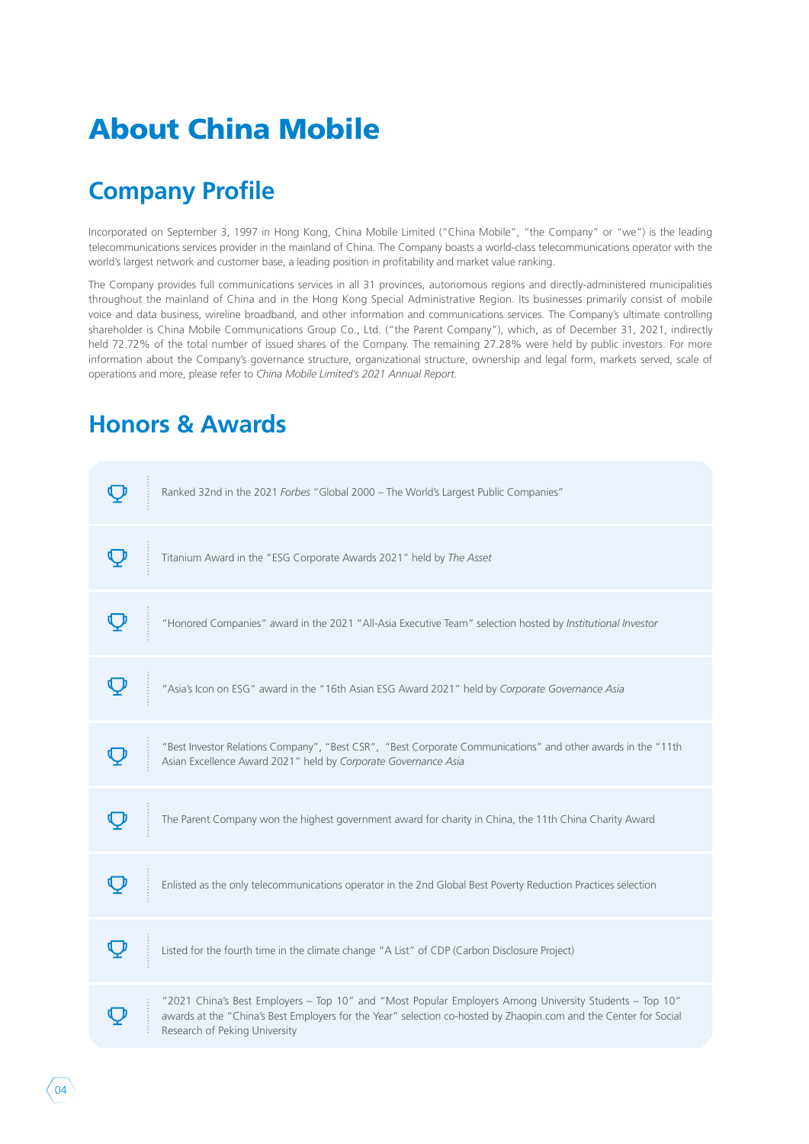# About China Mobile

## **Company Profile**

Incorporated on September 3, 1997 in Hong Kong, China Mobile Limited ("China Mobile", "the Company" or "we") is the leading telecommunications services provider in the mainland of China. The Company boasts a world-class telecommunications operator with the world's largest network and customer base, a leading position in profitability and market value ranking.

The Company provides full communications services in all 31 provinces, autonomous regions and directly-administered municipalities throughout the mainland of China and in the Hong Kong Special Administrative Region. Its businesses primarily consist of mobile voice and data business, wireline broadband, and other information and communications services. The Company's ultimate controlling shareholder is China Mobile Communications Group Co., Ltd. ("the Parent Company"), which, as of December 31, 2021, indirectly held 72.72% of the total number of issued shares of the Company. The remaining 27.28% were held by public investors. For more information about the Company's governance structure, organizational structure, ownership and legal form, markets served, scale of operations and more, please refer to *China Mobile Limited's 2021 Annual Report.*

### **Honors & Awards**

| Ranked 32nd in the 2021 Forbes "Global 2000 - The World's Largest Public Companies"                                                                                                                                                                         |
|-------------------------------------------------------------------------------------------------------------------------------------------------------------------------------------------------------------------------------------------------------------|
| Titanium Award in the "ESG Corporate Awards 2021" held by The Asset                                                                                                                                                                                         |
| "Honored Companies" award in the 2021 "All-Asia Executive Team" selection hosted by Institutional Investor                                                                                                                                                  |
| "Asia's Icon on ESG" award in the "16th Asian ESG Award 2021" held by Corporate Governance Asia                                                                                                                                                             |
| "Best Investor Relations Company", "Best CSR", "Best Corporate Communications" and other awards in the "11th<br>Asian Excellence Award 2021" held by Corporate Governance Asia                                                                              |
| The Parent Company won the highest government award for charity in China, the 11th China Charity Award                                                                                                                                                      |
| Enlisted as the only telecommunications operator in the 2nd Global Best Poverty Reduction Practices selection                                                                                                                                               |
| Listed for the fourth time in the climate change "A List" of CDP (Carbon Disclosure Project)                                                                                                                                                                |
| "2021 China's Best Employers - Top 10" and "Most Popular Employers Among University Students - Top 10"<br>awards at the "China's Best Employers for the Year" selection co-hosted by Zhaopin.com and the Center for Social<br>Research of Peking University |